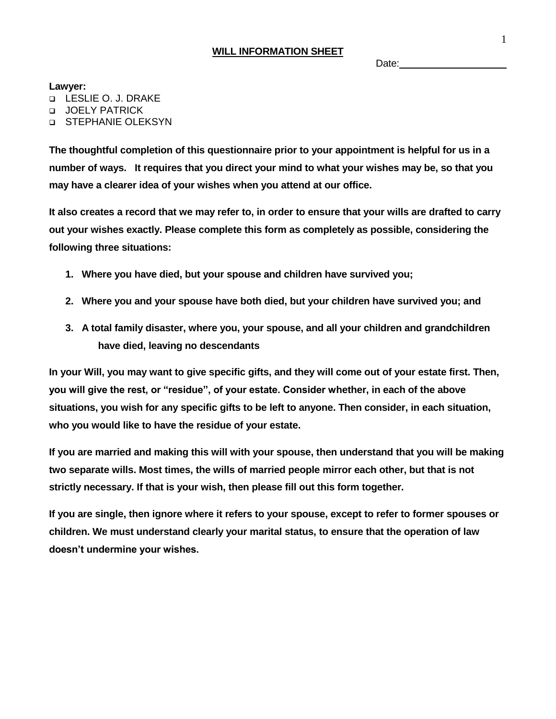## **WILL INFORMATION SHEET**

Date:

**Lawyer:**

LESLIE O. J. DRAKE

**JOELY PATRICK** 

**D** STEPHANIE OLEKSYN

**The thoughtful completion of this questionnaire prior to your appointment is helpful for us in a number of ways. It requires that you direct your mind to what your wishes may be, so that you may have a clearer idea of your wishes when you attend at our office.**

**It also creates a record that we may refer to, in order to ensure that your wills are drafted to carry out your wishes exactly. Please complete this form as completely as possible, considering the following three situations:**

- **1. Where you have died, but your spouse and children have survived you;**
- **2. Where you and your spouse have both died, but your children have survived you; and**
- **3. A total family disaster, where you, your spouse, and all your children and grandchildren have died, leaving no descendants**

**In your Will, you may want to give specific gifts, and they will come out of your estate first. Then, you will give the rest, or "residue", of your estate. Consider whether, in each of the above situations, you wish for any specific gifts to be left to anyone. Then consider, in each situation, who you would like to have the residue of your estate.**

**If you are married and making this will with your spouse, then understand that you will be making two separate wills. Most times, the wills of married people mirror each other, but that is not strictly necessary. If that is your wish, then please fill out this form together.**

**If you are single, then ignore where it refers to your spouse, except to refer to former spouses or children. We must understand clearly your marital status, to ensure that the operation of law doesn't undermine your wishes.**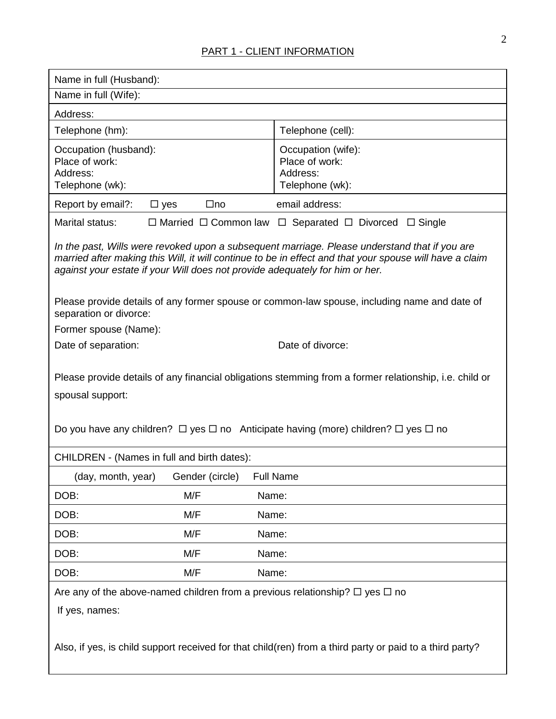# PART 1 - CLIENT INFORMATION

| Name in full (Husband):                                                                                                                                                                                                                                                                  |                                                                                 |  |
|------------------------------------------------------------------------------------------------------------------------------------------------------------------------------------------------------------------------------------------------------------------------------------------|---------------------------------------------------------------------------------|--|
| Name in full (Wife):                                                                                                                                                                                                                                                                     |                                                                                 |  |
| Address:                                                                                                                                                                                                                                                                                 |                                                                                 |  |
| Telephone (hm):                                                                                                                                                                                                                                                                          | Telephone (cell):                                                               |  |
| Occupation (husband):<br>Place of work:<br>Address:<br>Telephone (wk):                                                                                                                                                                                                                   | Occupation (wife):<br>Place of work:<br>Address:<br>Telephone (wk):             |  |
| Report by email?:<br>$\Box$ no<br>$\square$ yes                                                                                                                                                                                                                                          | email address:                                                                  |  |
| Marital status:                                                                                                                                                                                                                                                                          | $\Box$ Married $\Box$ Common law $\Box$ Separated $\Box$ Divorced $\Box$ Single |  |
| In the past, Wills were revoked upon a subsequent marriage. Please understand that if you are<br>married after making this Will, it will continue to be in effect and that your spouse will have a claim<br>against your estate if your Will does not provide adequately for him or her. |                                                                                 |  |
| Please provide details of any former spouse or common-law spouse, including name and date of<br>separation or divorce:                                                                                                                                                                   |                                                                                 |  |
| Former spouse (Name):                                                                                                                                                                                                                                                                    |                                                                                 |  |
| Date of separation:                                                                                                                                                                                                                                                                      | Date of divorce:                                                                |  |
| Please provide details of any financial obligations stemming from a former relationship, i.e. child or<br>spousal support:<br>Do you have any children? $\Box$ yes $\Box$ no Anticipate having (more) children? $\Box$ yes $\Box$ no                                                     |                                                                                 |  |
| CHILDREN - (Names in full and birth dates):                                                                                                                                                                                                                                              |                                                                                 |  |
| (day, month, year)<br>Gender (circle)                                                                                                                                                                                                                                                    | <b>Full Name</b>                                                                |  |
| DOB:<br>M/F<br>Name:                                                                                                                                                                                                                                                                     |                                                                                 |  |
| M/F<br>DOB:<br>Name:                                                                                                                                                                                                                                                                     |                                                                                 |  |
| DOB:<br>M/F<br>Name:                                                                                                                                                                                                                                                                     |                                                                                 |  |
| DOB:<br>M/F<br>Name:                                                                                                                                                                                                                                                                     |                                                                                 |  |
| DOB:<br>M/F<br>Name:                                                                                                                                                                                                                                                                     |                                                                                 |  |
| Are any of the above-named children from a previous relationship? $\Box$ yes $\Box$ no<br>If yes, names:<br>Also, if yes, is child support received for that child(ren) from a third party or paid to a third party?                                                                     |                                                                                 |  |
|                                                                                                                                                                                                                                                                                          |                                                                                 |  |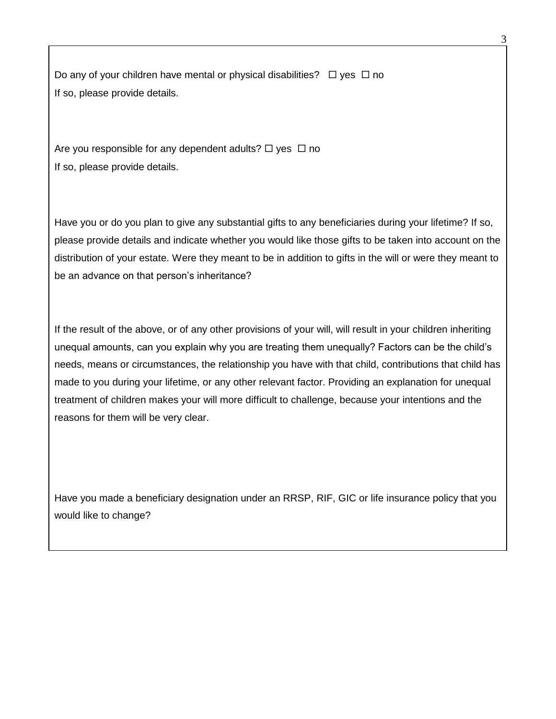Do any of your children have mental or physical disabilities?  $\Box$  yes  $\Box$  no If so, please provide details.

Are you responsible for any dependent adults?  $\Box$  yes  $\Box$  no If so, please provide details.

Have you or do you plan to give any substantial gifts to any beneficiaries during your lifetime? If so, please provide details and indicate whether you would like those gifts to be taken into account on the distribution of your estate. Were they meant to be in addition to gifts in the will or were they meant to be an advance on that person's inheritance?

If the result of the above, or of any other provisions of your will, will result in your children inheriting unequal amounts, can you explain why you are treating them unequally? Factors can be the child's needs, means or circumstances, the relationship you have with that child, contributions that child has made to you during your lifetime, or any other relevant factor. Providing an explanation for unequal treatment of children makes your will more difficult to challenge, because your intentions and the reasons for them will be very clear.

Have you made a beneficiary designation under an RRSP, RIF, GIC or life insurance policy that you would like to change?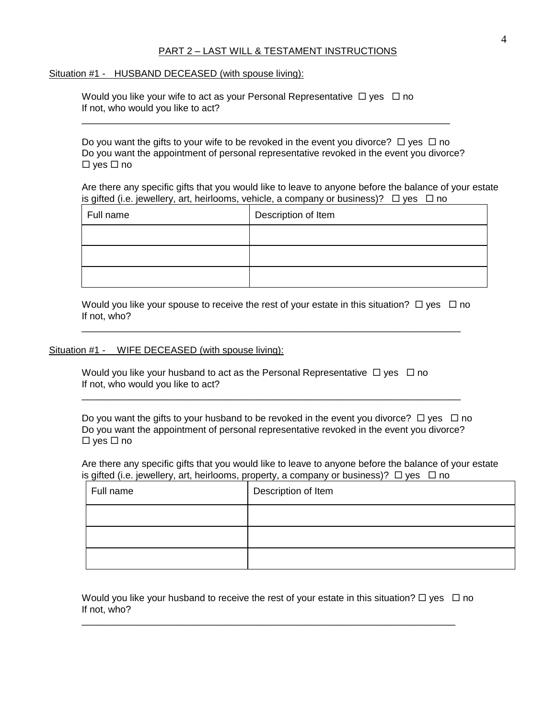#### PART 2 – LAST WILL & TESTAMENT INSTRUCTIONS

Situation #1 - HUSBAND DECEASED (with spouse living):

|                                    | Would you like your wife to act as your Personal Representative $\Box$ yes $\Box$ no |  |
|------------------------------------|--------------------------------------------------------------------------------------|--|
| If not, who would you like to act? |                                                                                      |  |

Do you want the gifts to your wife to be revoked in the event you divorce?  $\Box$  yes  $\Box$  no Do you want the appointment of personal representative revoked in the event you divorce?  $\Box$  yes  $\Box$  no

 $\overline{\phantom{a}}$  , and the contribution of the contribution of the contribution of the contribution of the contribution of the contribution of the contribution of the contribution of the contribution of the contribution of the

Are there any specific gifts that you would like to leave to anyone before the balance of your estate is gifted (i.e. jewellery, art, heirlooms, vehicle, a company or business)?  $\Box$  yes  $\Box$  no

| Full name | Description of Item |
|-----------|---------------------|
|           |                     |
|           |                     |
|           |                     |

Would you like your spouse to receive the rest of your estate in this situation?  $\Box$  yes  $\Box$  no If not, who?

 $\Box$ 

#### Situation #1 - WIFE DECEASED (with spouse living):

Would you like your husband to act as the Personal Representative  $\Box$  yes  $\Box$  no If not, who would you like to act?

Do you want the gifts to your husband to be revoked in the event you divorce?  $\Box$  yes  $\Box$  no Do you want the appointment of personal representative revoked in the event you divorce?  $\Box$  yes  $\Box$  no

 $\Box$ 

Are there any specific gifts that you would like to leave to anyone before the balance of your estate is gifted (i.e. jewellery, art, heirlooms, property, a company or business)?  $\Box$  yes  $\Box$  no

| Full name | Description of Item |
|-----------|---------------------|
|           |                     |
|           |                     |
|           |                     |

Would you like your husband to receive the rest of your estate in this situation?  $\Box$  yes  $\Box$  no If not, who?

\_\_\_\_\_\_\_\_\_\_\_\_\_\_\_\_\_\_\_\_\_\_\_\_\_\_\_\_\_\_\_\_\_\_\_\_\_\_\_\_\_\_\_\_\_\_\_\_\_\_\_\_\_\_\_\_\_\_\_\_\_\_\_\_\_\_\_\_\_\_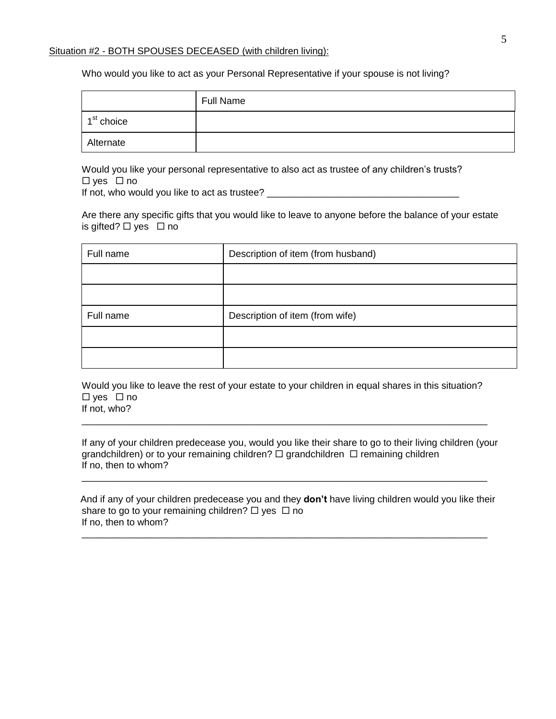#### Situation #2 - BOTH SPOUSES DECEASED (with children living):

Who would you like to act as your Personal Representative if your spouse is not living?

|                        | <b>Full Name</b> |
|------------------------|------------------|
| 1 <sup>st</sup> choice |                  |
| Alternate              |                  |

Would you like your personal representative to also act as trustee of any children's trusts?  $\Box$  yes  $\Box$  no

If not, who would you like to act as trustee? \_\_\_\_\_\_\_\_\_\_\_\_\_\_\_\_\_\_\_\_\_\_\_\_\_\_\_\_\_\_\_\_\_\_\_\_

Are there any specific gifts that you would like to leave to anyone before the balance of your estate is gifted?  $\Box$  yes  $\Box$  no

| Full name | Description of item (from husband) |
|-----------|------------------------------------|
|           |                                    |
|           |                                    |
| Full name | Description of item (from wife)    |
|           |                                    |
|           |                                    |

Would you like to leave the rest of your estate to your children in equal shares in this situation?  $\square$  yes  $\square$  no

\_\_\_\_\_\_\_\_\_\_\_\_\_\_\_\_\_\_\_\_\_\_\_\_\_\_\_\_\_\_\_\_\_\_\_\_\_\_\_\_\_\_\_\_\_\_\_\_\_\_\_\_\_\_\_\_\_\_\_\_\_\_\_\_\_\_\_\_\_\_\_\_\_\_\_\_

If not, who?

If any of your children predecease you, would you like their share to go to their living children (your grandchildren) or to your remaining children?  $\Box$  grandchildren  $\Box$  remaining children If no, then to whom?

\_\_\_\_\_\_\_\_\_\_\_\_\_\_\_\_\_\_\_\_\_\_\_\_\_\_\_\_\_\_\_\_\_\_\_\_\_\_\_\_\_\_\_\_\_\_\_\_\_\_\_\_\_\_\_\_\_\_\_\_\_\_\_\_\_\_\_\_\_\_\_\_\_\_\_\_

 And if any of your children predecease you and they **don't** have living children would you like their share to go to your remaining children?  $\Box$  yes  $\Box$  no If no, then to whom?

\_\_\_\_\_\_\_\_\_\_\_\_\_\_\_\_\_\_\_\_\_\_\_\_\_\_\_\_\_\_\_\_\_\_\_\_\_\_\_\_\_\_\_\_\_\_\_\_\_\_\_\_\_\_\_\_\_\_\_\_\_\_\_\_\_\_\_\_\_\_\_\_\_\_\_\_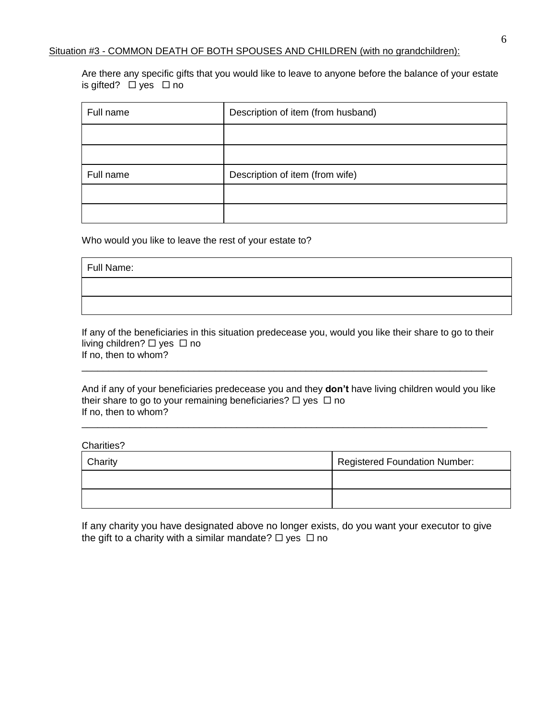Are there any specific gifts that you would like to leave to anyone before the balance of your estate is gifted?  $\Box$  yes  $\Box$  no

| Full name | Description of item (from husband) |
|-----------|------------------------------------|
|           |                                    |
|           |                                    |
| Full name | Description of item (from wife)    |
|           |                                    |
|           |                                    |

Who would you like to leave the rest of your estate to?

Full Name:

If any of the beneficiaries in this situation predecease you, would you like their share to go to their living children?  $\Box$  yes  $\Box$  no If no, then to whom?

\_\_\_\_\_\_\_\_\_\_\_\_\_\_\_\_\_\_\_\_\_\_\_\_\_\_\_\_\_\_\_\_\_\_\_\_\_\_\_\_\_\_\_\_\_\_\_\_\_\_\_\_\_\_\_\_\_\_\_\_\_\_\_\_\_\_\_\_\_\_\_\_\_\_\_\_

And if any of your beneficiaries predecease you and they **don't** have living children would you like their share to go to your remaining beneficiaries?  $\Box$  yes  $\Box$  no If no, then to whom?

\_\_\_\_\_\_\_\_\_\_\_\_\_\_\_\_\_\_\_\_\_\_\_\_\_\_\_\_\_\_\_\_\_\_\_\_\_\_\_\_\_\_\_\_\_\_\_\_\_\_\_\_\_\_\_\_\_\_\_\_\_\_\_\_\_\_\_\_\_\_\_\_\_\_\_\_

Charities?

| Charity | <b>Registered Foundation Number:</b> |
|---------|--------------------------------------|
|         |                                      |
|         |                                      |

If any charity you have designated above no longer exists, do you want your executor to give the gift to a charity with a similar mandate?  $\Box$  yes  $\Box$  no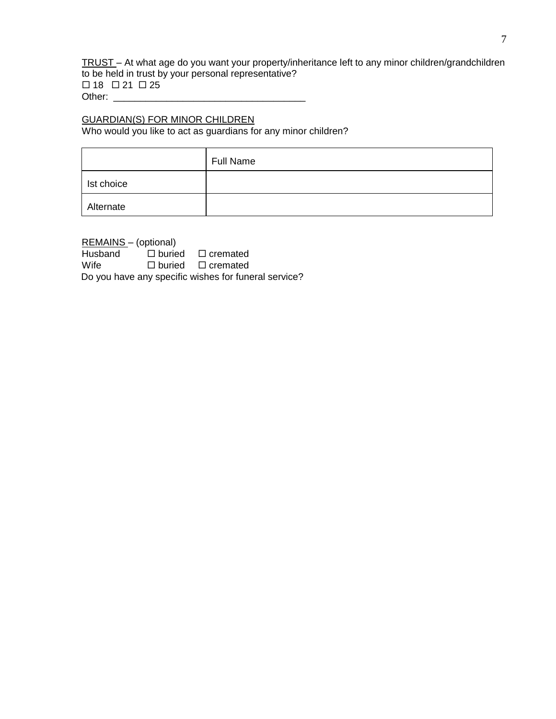TRUST – At what age do you want your property/inheritance left to any minor children/grandchildren to be held in trust by your personal representative?  $\Box$  18  $\Box$  21  $\Box$  25 Other: \_\_\_\_\_\_\_\_\_\_\_\_\_\_\_\_\_\_\_\_\_\_\_\_\_\_\_\_\_\_\_\_\_\_\_\_

# GUARDIAN(S) FOR MINOR CHILDREN

Who would you like to act as guardians for any minor children?

|            | <b>Full Name</b> |
|------------|------------------|
| Ist choice |                  |
| Alternate  |                  |

| REMAINS - (optional) |                                                      |
|----------------------|------------------------------------------------------|
| Husband              | $\Box$ buried $\Box$ cremated                        |
| Wife                 | $\Box$ buried $\Box$ cremated                        |
|                      | Do you have any specific wishes for funeral service? |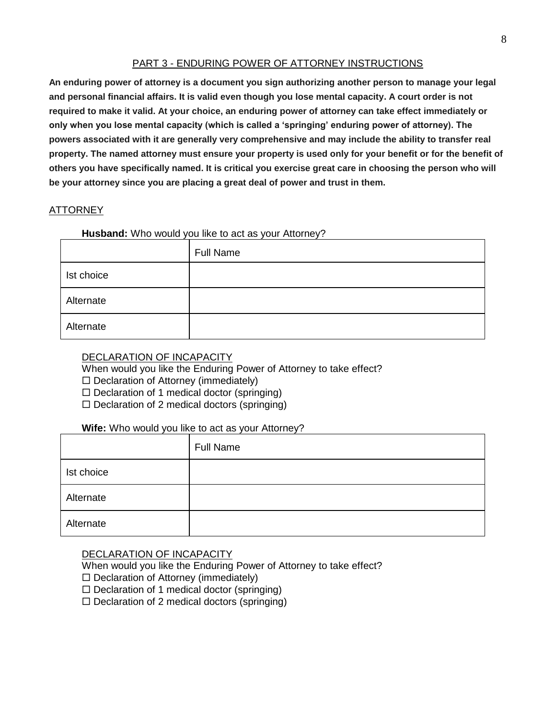## PART 3 - ENDURING POWER OF ATTORNEY INSTRUCTIONS

**An enduring power of attorney is a document you sign authorizing another person to manage your legal and personal financial affairs. It is valid even though you lose mental capacity. A court order is not required to make it valid. At your choice, an enduring power of attorney can take effect immediately or only when you lose mental capacity (which is called a 'springing' enduring power of attorney). The powers associated with it are generally very comprehensive and may include the ability to transfer real property. The named attorney must ensure your property is used only for your benefit or for the benefit of others you have specifically named. It is critical you exercise great care in choosing the person who will be your attorney since you are placing a great deal of power and trust in them.** 

#### ATTORNEY

#### **Husband:** Who would you like to act as your Attorney?

|            | <b>Full Name</b> |
|------------|------------------|
| Ist choice |                  |
| Alternate  |                  |
| Alternate  |                  |

### DECLARATION OF INCAPACITY

When would you like the Enduring Power of Attorney to take effect?

- $\square$  Declaration of Attorney (immediately)
- $\Box$  Declaration of 1 medical doctor (springing)
- $\square$  Declaration of 2 medical doctors (springing)

#### **Wife:** Who would you like to act as your Attorney?

|            | <b>Full Name</b> |
|------------|------------------|
| Ist choice |                  |
| Alternate  |                  |
| Alternate  |                  |

#### DECLARATION OF INCAPACITY

When would you like the Enduring Power of Attorney to take effect?

- $\Box$  Declaration of Attorney (immediately)
- $\Box$  Declaration of 1 medical doctor (springing)
- $\Box$  Declaration of 2 medical doctors (springing)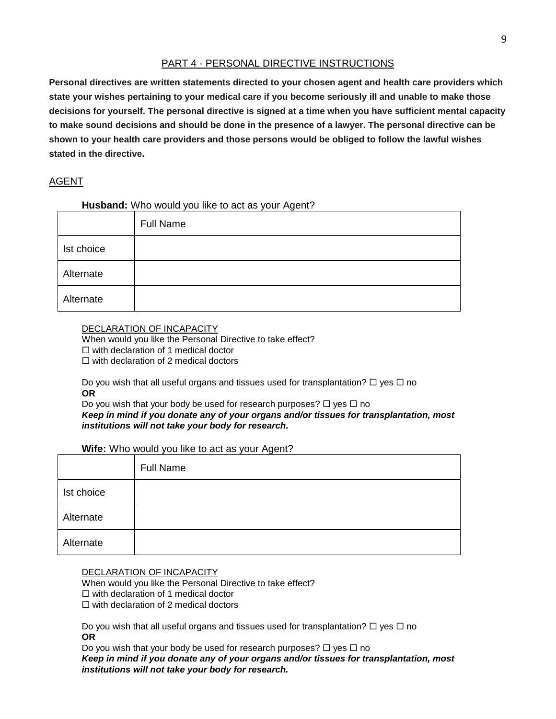## PART 4 - PERSONAL DIRECTIVE INSTRUCTIONS

**Personal directives are written statements directed to your chosen agent and health care providers which state your wishes pertaining to your medical care if you become seriously ill and unable to make those decisions for yourself. The personal directive is signed at a time when you have sufficient mental capacity to make sound decisions and should be done in the presence of a lawyer. The personal directive can be shown to your health care providers and those persons would be obliged to follow the lawful wishes stated in the directive.** 

## AGENT

## **Husband:** Who would you like to act as your Agent?

|            | <b>Full Name</b> |
|------------|------------------|
| Ist choice |                  |
| Alternate  |                  |
| Alternate  |                  |

#### DECLARATION OF INCAPACITY

When would you like the Personal Directive to take effect?  $\Box$  with declaration of 1 medical doctor  $\square$  with declaration of 2 medical doctors

Do you wish that all useful organs and tissues used for transplantation?  $\Box$  yes  $\Box$  no **OR**

Do you wish that your body be used for research purposes?  $\Box$  yes  $\Box$  no *Keep in mind if you donate any of your organs and/or tissues for transplantation, most institutions will not take your body for research.* 

### **Wife:** Who would you like to act as your Agent?

|            | <b>Full Name</b> |
|------------|------------------|
| Ist choice |                  |
| Alternate  |                  |
| Alternate  |                  |

#### DECLARATION OF INCAPACITY

When would you like the Personal Directive to take effect?  $\Box$  with declaration of 1 medical doctor

 $\Box$  with declaration of 2 medical doctors

Do you wish that all useful organs and tissues used for transplantation?  $\Box$  yes  $\Box$  no **OR**

Do you wish that your body be used for research purposes?  $\Box$  yes  $\Box$  no *Keep in mind if you donate any of your organs and/or tissues for transplantation, most institutions will not take your body for research.*